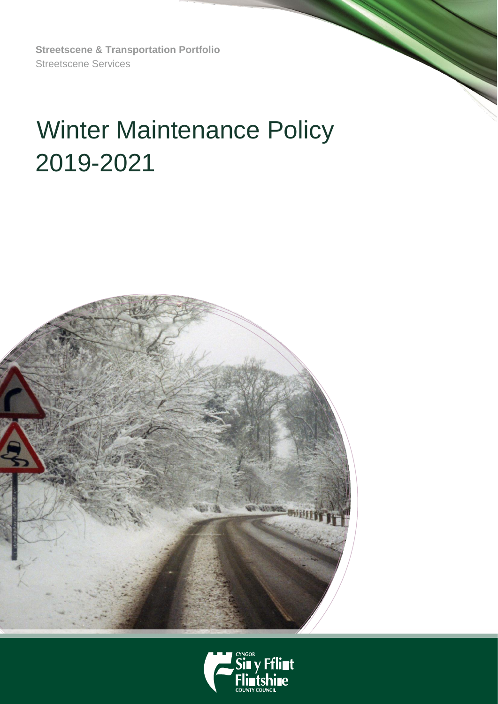**Streetscene & Transportation Portfolio**  Streetscene Services

# Winter Maintenance Policy 2019-2021



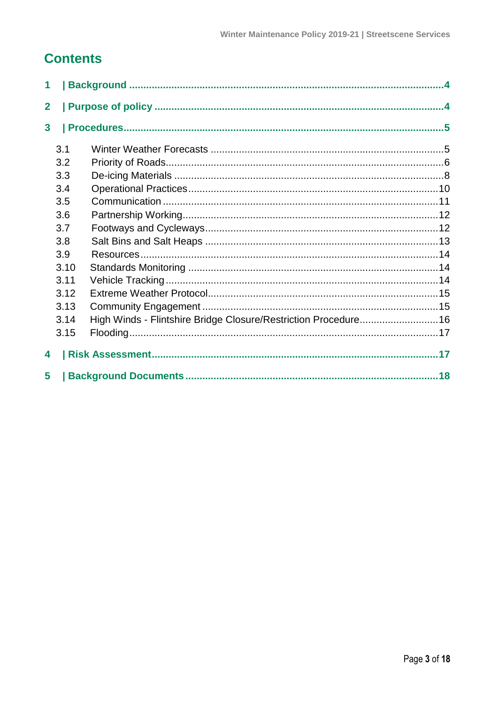# **Contents**

| 1              |      |                                                                |  |  |  |  |  |
|----------------|------|----------------------------------------------------------------|--|--|--|--|--|
| $\overline{2}$ |      |                                                                |  |  |  |  |  |
| $\mathbf{3}$   |      |                                                                |  |  |  |  |  |
|                | 3.1  |                                                                |  |  |  |  |  |
|                | 3.2  |                                                                |  |  |  |  |  |
|                | 3.3  |                                                                |  |  |  |  |  |
|                | 3.4  |                                                                |  |  |  |  |  |
|                | 3.5  |                                                                |  |  |  |  |  |
|                | 3.6  |                                                                |  |  |  |  |  |
|                | 3.7  |                                                                |  |  |  |  |  |
|                | 3.8  |                                                                |  |  |  |  |  |
|                | 3.9  |                                                                |  |  |  |  |  |
|                | 3.10 |                                                                |  |  |  |  |  |
|                | 3.11 |                                                                |  |  |  |  |  |
|                | 3.12 |                                                                |  |  |  |  |  |
|                | 3.13 |                                                                |  |  |  |  |  |
|                | 3.14 | High Winds - Flintshire Bridge Closure/Restriction Procedure16 |  |  |  |  |  |
|                | 3.15 |                                                                |  |  |  |  |  |
| 4              |      |                                                                |  |  |  |  |  |
| 5              |      |                                                                |  |  |  |  |  |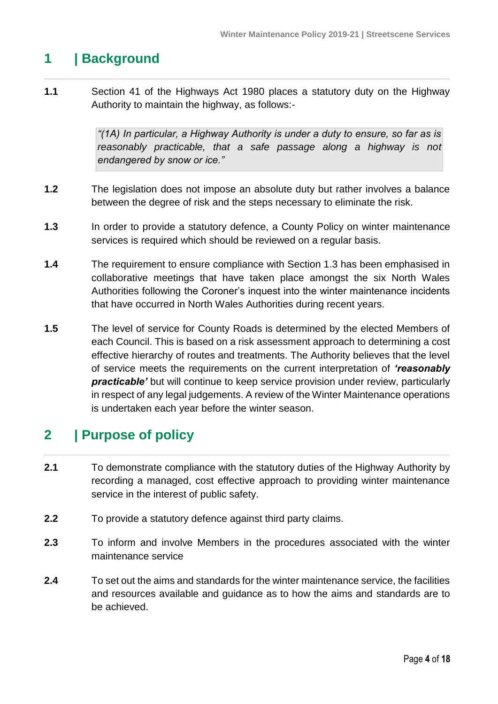# <span id="page-3-0"></span>**1 | Background**

**1.1** Section 41 of the Highways Act 1980 places a statutory duty on the Highway Authority to maintain the highway, as follows:-

> *"(1A) In particular, a Highway Authority is under a duty to ensure, so far as is*  reasonably practicable, that a safe passage along a highway is not *endangered by snow or ice."*

- **1.2** The legislation does not impose an absolute duty but rather involves a balance between the degree of risk and the steps necessary to eliminate the risk.
- **1.3** In order to provide a statutory defence, a County Policy on winter maintenance services is required which should be reviewed on a regular basis.
- **1.4** The requirement to ensure compliance with Section 1.3 has been emphasised in collaborative meetings that have taken place amongst the six North Wales Authorities following the Coroner's inquest into the winter maintenance incidents that have occurred in North Wales Authorities during recent years.
- **1.5** The level of service for County Roads is determined by the elected Members of each Council. This is based on a risk assessment approach to determining a cost effective hierarchy of routes and treatments. The Authority believes that the level of service meets the requirements on the current interpretation of *'reasonably*  **practicable'** but will continue to keep service provision under review, particularly in respect of any legal judgements. A review of the Winter Maintenance operations is undertaken each year before the winter season.

# <span id="page-3-1"></span>**2 | Purpose of policy**

- **2.1** To demonstrate compliance with the statutory duties of the Highway Authority by recording a managed, cost effective approach to providing winter maintenance service in the interest of public safety.
- **2.2** To provide a statutory defence against third party claims.
- **2.3** To inform and involve Members in the procedures associated with the winter maintenance service
- **2.4** To set out the aims and standards for the winter maintenance service, the facilities and resources available and guidance as to how the aims and standards are to be achieved.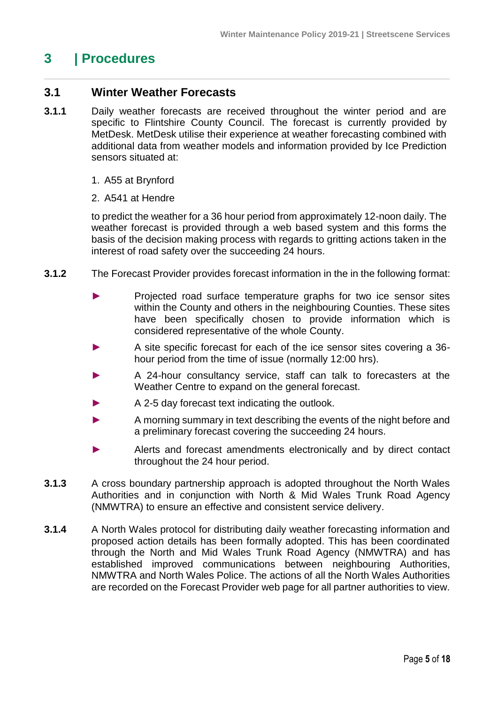# <span id="page-4-0"></span>**3 | Procedures**

## <span id="page-4-1"></span>**3.1 Winter Weather Forecasts**

- **3.1.1** Daily weather forecasts are received throughout the winter period and are specific to Flintshire County Council. The forecast is currently provided by MetDesk. MetDesk utilise their experience at weather forecasting combined with additional data from weather models and information provided by Ice Prediction sensors situated at:
	- 1. A55 at Brynford
	- 2. A541 at Hendre

to predict the weather for a 36 hour period from approximately 12-noon daily. The weather forecast is provided through a web based system and this forms the basis of the decision making process with regards to gritting actions taken in the interest of road safety over the succeeding 24 hours.

- **3.1.2** The Forecast Provider provides forecast information in the in the following format:
	- ► Projected road surface temperature graphs for two ice sensor sites within the County and others in the neighbouring Counties. These sites have been specifically chosen to provide information which is considered representative of the whole County.
	- A site specific forecast for each of the ice sensor sites covering a 36hour period from the time of issue (normally 12:00 hrs).
	- A 24-hour consultancy service, staff can talk to forecasters at the Weather Centre to expand on the general forecast.
	- A 2-5 day forecast text indicating the outlook.
	- ► A morning summary in text describing the events of the night before and a preliminary forecast covering the succeeding 24 hours.
	- ► Alerts and forecast amendments electronically and by direct contact throughout the 24 hour period.
- **3.1.3** A cross boundary partnership approach is adopted throughout the North Wales Authorities and in conjunction with North & Mid Wales Trunk Road Agency (NMWTRA) to ensure an effective and consistent service delivery.
- **3.1.4** A North Wales protocol for distributing daily weather forecasting information and proposed action details has been formally adopted. This has been coordinated through the North and Mid Wales Trunk Road Agency (NMWTRA) and has established improved communications between neighbouring Authorities, NMWTRA and North Wales Police. The actions of all the North Wales Authorities are recorded on the Forecast Provider web page for all partner authorities to view.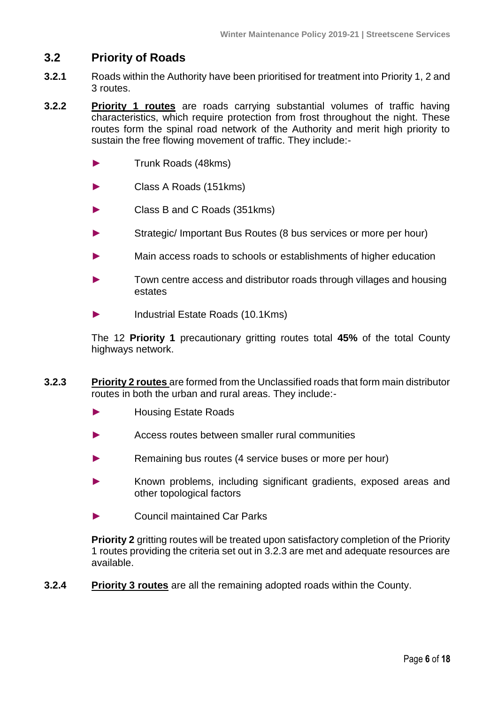# <span id="page-5-0"></span>**3.2 Priority of Roads**

- **3.2.1** Roads within the Authority have been prioritised for treatment into Priority 1, 2 and 3 routes.
- **3.2.2 Priority 1 routes** are roads carrying substantial volumes of traffic having characteristics, which require protection from frost throughout the night. These routes form the spinal road network of the Authority and merit high priority to sustain the free flowing movement of traffic. They include:-
	- ► Trunk Roads (48kms)
	- ► Class A Roads (151kms)
	- ► Class B and C Roads (351kms)
	- Strategic/ Important Bus Routes (8 bus services or more per hour)
	- Main access roads to schools or establishments of higher education
	- Town centre access and distributor roads through villages and housing estates
	- ► Industrial Estate Roads (10.1Kms)

The 12 **Priority 1** precautionary gritting routes total **45%** of the total County highways network.

- **3.2.3 Priority 2 routes** are formed from the Unclassified roads that form main distributor routes in both the urban and rural areas. They include:-
	- ► Housing Estate Roads
	- Access routes between smaller rural communities
	- Remaining bus routes (4 service buses or more per hour)
	- Known problems, including significant gradients, exposed areas and other topological factors
	- ► Council maintained Car Parks

**Priority 2** gritting routes will be treated upon satisfactory completion of the Priority 1 routes providing the criteria set out in 3.2.3 are met and adequate resources are available.

**3.2.4 Priority 3 routes** are all the remaining adopted roads within the County.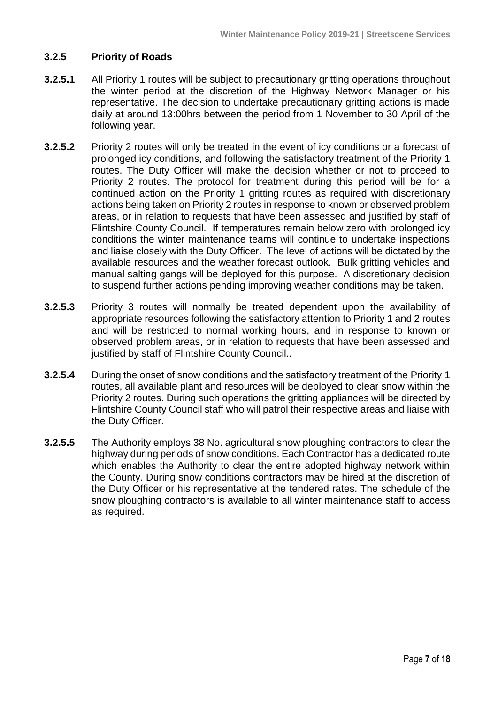#### **3.2.5 Priority of Roads**

- **3.2.5.1** All Priority 1 routes will be subject to precautionary gritting operations throughout the winter period at the discretion of the Highway Network Manager or his representative. The decision to undertake precautionary gritting actions is made daily at around 13:00hrs between the period from 1 November to 30 April of the following year.
- **3.2.5.2** Priority 2 routes will only be treated in the event of icy conditions or a forecast of prolonged icy conditions, and following the satisfactory treatment of the Priority 1 routes. The Duty Officer will make the decision whether or not to proceed to Priority 2 routes. The protocol for treatment during this period will be for a continued action on the Priority 1 gritting routes as required with discretionary actions being taken on Priority 2 routes in response to known or observed problem areas, or in relation to requests that have been assessed and justified by staff of Flintshire County Council. If temperatures remain below zero with prolonged icy conditions the winter maintenance teams will continue to undertake inspections and liaise closely with the Duty Officer. The level of actions will be dictated by the available resources and the weather forecast outlook. Bulk gritting vehicles and manual salting gangs will be deployed for this purpose. A discretionary decision to suspend further actions pending improving weather conditions may be taken.
- **3.2.5.3** Priority 3 routes will normally be treated dependent upon the availability of appropriate resources following the satisfactory attention to Priority 1 and 2 routes and will be restricted to normal working hours, and in response to known or observed problem areas, or in relation to requests that have been assessed and justified by staff of Flintshire County Council..
- **3.2.5.4** During the onset of snow conditions and the satisfactory treatment of the Priority 1 routes, all available plant and resources will be deployed to clear snow within the Priority 2 routes. During such operations the gritting appliances will be directed by Flintshire County Council staff who will patrol their respective areas and liaise with the Duty Officer.
- **3.2.5.5** The Authority employs 38 No. agricultural snow ploughing contractors to clear the highway during periods of snow conditions. Each Contractor has a dedicated route which enables the Authority to clear the entire adopted highway network within the County. During snow conditions contractors may be hired at the discretion of the Duty Officer or his representative at the tendered rates. The schedule of the snow ploughing contractors is available to all winter maintenance staff to access as required.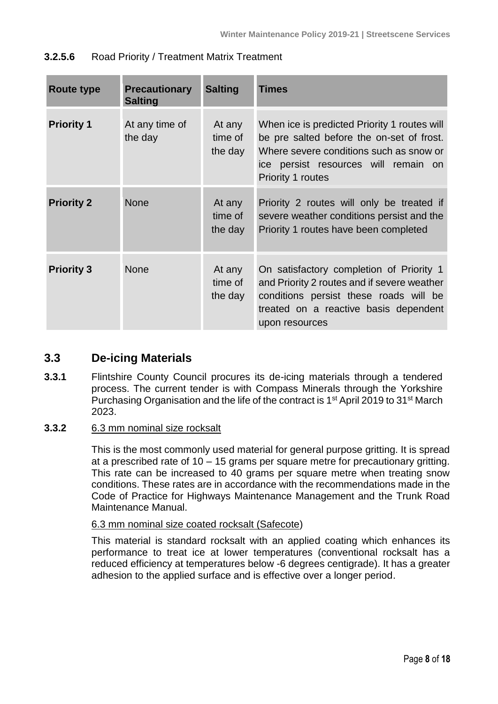| <b>Route type</b> | <b>Precautionary</b><br><b>Salting</b> | <b>Salting</b>               | <b>Times</b>                                                                                                                                                                                             |
|-------------------|----------------------------------------|------------------------------|----------------------------------------------------------------------------------------------------------------------------------------------------------------------------------------------------------|
| <b>Priority 1</b> | At any time of<br>the day              | At any<br>time of<br>the day | When ice is predicted Priority 1 routes will<br>be pre salted before the on-set of frost.<br>Where severe conditions such as snow or<br>ice persist resources will remain on<br><b>Priority 1 routes</b> |
| <b>Priority 2</b> | <b>None</b>                            | At any<br>time of<br>the day | Priority 2 routes will only be treated if<br>severe weather conditions persist and the<br>Priority 1 routes have been completed                                                                          |
| <b>Priority 3</b> | <b>None</b>                            | At any<br>time of<br>the day | On satisfactory completion of Priority 1<br>and Priority 2 routes and if severe weather<br>conditions persist these roads will be<br>treated on a reactive basis dependent<br>upon resources             |

### **3.2.5.6** Road Priority / Treatment Matrix Treatment

# <span id="page-7-0"></span>**3.3 De-icing Materials**

**3.3.1** Flintshire County Council procures its de-icing materials through a tendered process. The current tender is with Compass Minerals through the Yorkshire Purchasing Organisation and the life of the contract is 1<sup>st</sup> April 2019 to 31<sup>st</sup> March 2023.

### **3.3.2** 6.3 mm nominal size rocksalt

This is the most commonly used material for general purpose gritting. It is spread at a prescribed rate of 10 – 15 grams per square metre for precautionary gritting. This rate can be increased to 40 grams per square metre when treating snow conditions. These rates are in accordance with the recommendations made in the Code of Practice for Highways Maintenance Management and the Trunk Road Maintenance Manual.

### 6.3 mm nominal size coated rocksalt (Safecote)

This material is standard rocksalt with an applied coating which enhances its performance to treat ice at lower temperatures (conventional rocksalt has a reduced efficiency at temperatures below -6 degrees centigrade). It has a greater adhesion to the applied surface and is effective over a longer period.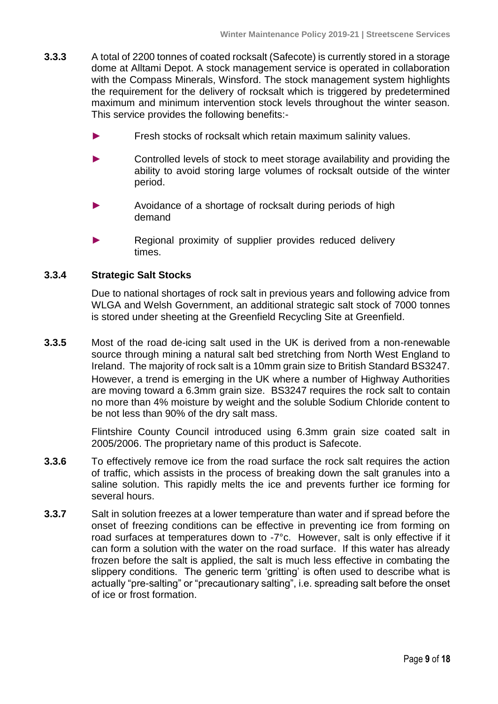- **3.3.3** A total of 2200 tonnes of coated rocksalt (Safecote) is currently stored in a storage dome at Alltami Depot. A stock management service is operated in collaboration with the Compass Minerals, Winsford. The stock management system highlights the requirement for the delivery of rocksalt which is triggered by predetermined maximum and minimum intervention stock levels throughout the winter season. This service provides the following benefits:-
	- Fresh stocks of rocksalt which retain maximum salinity values.
	- Controlled levels of stock to meet storage availability and providing the ability to avoid storing large volumes of rocksalt outside of the winter period.
	- Avoidance of a shortage of rocksalt during periods of high demand
	- Regional proximity of supplier provides reduced delivery times.

#### **3.3.4 Strategic Salt Stocks**

Due to national shortages of rock salt in previous years and following advice from WLGA and Welsh Government, an additional strategic salt stock of 7000 tonnes is stored under sheeting at the Greenfield Recycling Site at Greenfield.

**3.3.5** Most of the road de-icing salt used in the UK is derived from a non-renewable source through mining a natural salt bed stretching from North West England to Ireland. The majority of rock salt is a 10mm grain size to British Standard BS3247. However, a trend is emerging in the UK where a number of Highway Authorities are moving toward a 6.3mm grain size. BS3247 requires the rock salt to contain no more than 4% moisture by weight and the soluble Sodium Chloride content to be not less than 90% of the dry salt mass.

> Flintshire County Council introduced using 6.3mm grain size coated salt in 2005/2006. The proprietary name of this product is Safecote.

- **3.3.6** To effectively remove ice from the road surface the rock salt requires the action of traffic, which assists in the process of breaking down the salt granules into a saline solution. This rapidly melts the ice and prevents further ice forming for several hours.
- **3.3.7** Salt in solution freezes at a lower temperature than water and if spread before the onset of freezing conditions can be effective in preventing ice from forming on road surfaces at temperatures down to -7°c. However, salt is only effective if it can form a solution with the water on the road surface. If this water has already frozen before the salt is applied, the salt is much less effective in combating the slippery conditions. The generic term 'gritting' is often used to describe what is actually "pre-salting" or "precautionary salting", i.e. spreading salt before the onset of ice or frost formation.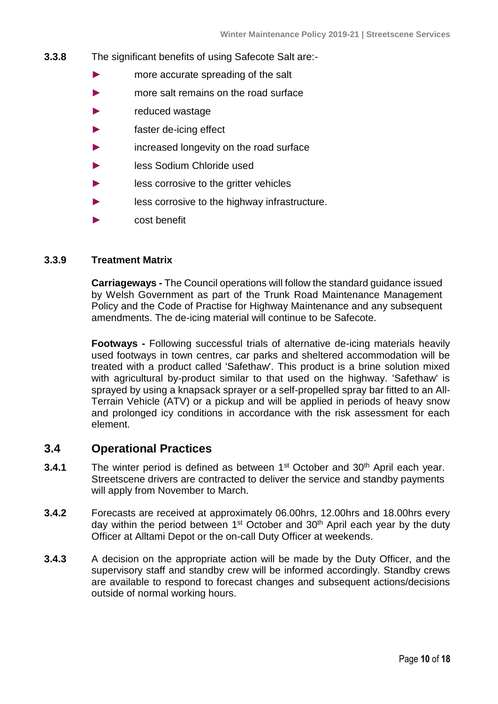- **3.3.8** The significant benefits of using Safecote Salt are:-
	- ► more accurate spreading of the salt
	- ► more salt remains on the road surface
	- reduced wastage
	- ► faster de-icing effect
	- increased longevity on the road surface
	- less Sodium Chloride used
	- less corrosive to the gritter vehicles
	- less corrosive to the highway infrastructure.
	- cost benefit

#### **3.3.9 Treatment Matrix**

**Carriageways -** The Council operations will follow the standard guidance issued by Welsh Government as part of the Trunk Road Maintenance Management Policy and the Code of Practise for Highway Maintenance and any subsequent amendments. The de-icing material will continue to be Safecote.

**Footways -** Following successful trials of alternative de-icing materials heavily used footways in town centres, car parks and sheltered accommodation will be treated with a product called 'Safethaw'. This product is a brine solution mixed with agricultural by-product similar to that used on the highway. 'Safethaw' is sprayed by using a knapsack sprayer or a self-propelled spray bar fitted to an All-Terrain Vehicle (ATV) or a pickup and will be applied in periods of heavy snow and prolonged icy conditions in accordance with the risk assessment for each element.

### <span id="page-9-0"></span>**3.4 Operational Practices**

- **3.4.1** The winter period is defined as between 1<sup>st</sup> October and 30<sup>th</sup> April each year. Streetscene drivers are contracted to deliver the service and standby payments will apply from November to March.
- **3.4.2** Forecasts are received at approximately 06.00hrs, 12.00hrs and 18.00hrs every day within the period between 1<sup>st</sup> October and 30<sup>th</sup> April each year by the duty Officer at Alltami Depot or the on-call Duty Officer at weekends.
- **3.4.3** A decision on the appropriate action will be made by the Duty Officer, and the supervisory staff and standby crew will be informed accordingly. Standby crews are available to respond to forecast changes and subsequent actions/decisions outside of normal working hours.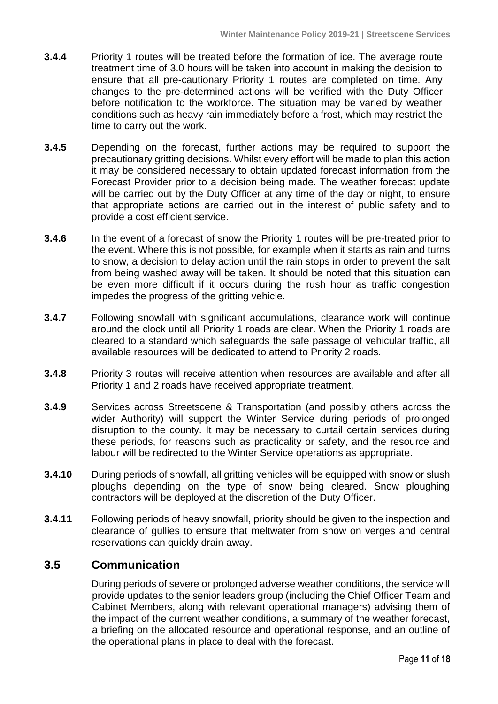- **3.4.4** Priority 1 routes will be treated before the formation of ice. The average route treatment time of 3.0 hours will be taken into account in making the decision to ensure that all pre-cautionary Priority 1 routes are completed on time. Any changes to the pre-determined actions will be verified with the Duty Officer before notification to the workforce. The situation may be varied by weather conditions such as heavy rain immediately before a frost, which may restrict the time to carry out the work.
- **3.4.5** Depending on the forecast, further actions may be required to support the precautionary gritting decisions. Whilst every effort will be made to plan this action it may be considered necessary to obtain updated forecast information from the Forecast Provider prior to a decision being made. The weather forecast update will be carried out by the Duty Officer at any time of the day or night, to ensure that appropriate actions are carried out in the interest of public safety and to provide a cost efficient service.
- **3.4.6** In the event of a forecast of snow the Priority 1 routes will be pre-treated prior to the event. Where this is not possible, for example when it starts as rain and turns to snow, a decision to delay action until the rain stops in order to prevent the salt from being washed away will be taken. It should be noted that this situation can be even more difficult if it occurs during the rush hour as traffic congestion impedes the progress of the gritting vehicle.
- **3.4.7** Following snowfall with significant accumulations, clearance work will continue around the clock until all Priority 1 roads are clear. When the Priority 1 roads are cleared to a standard which safeguards the safe passage of vehicular traffic, all available resources will be dedicated to attend to Priority 2 roads.
- **3.4.8** Priority 3 routes will receive attention when resources are available and after all Priority 1 and 2 roads have received appropriate treatment.
- **3.4.9** Services across Streetscene & Transportation (and possibly others across the wider Authority) will support the Winter Service during periods of prolonged disruption to the county. It may be necessary to curtail certain services during these periods, for reasons such as practicality or safety, and the resource and labour will be redirected to the Winter Service operations as appropriate.
- **3.4.10** During periods of snowfall, all gritting vehicles will be equipped with snow or slush ploughs depending on the type of snow being cleared. Snow ploughing contractors will be deployed at the discretion of the Duty Officer.
- **3.4.11** Following periods of heavy snowfall, priority should be given to the inspection and clearance of gullies to ensure that meltwater from snow on verges and central reservations can quickly drain away.

# <span id="page-10-0"></span>**3.5 Communication**

During periods of severe or prolonged adverse weather conditions, the service will provide updates to the senior leaders group (including the Chief Officer Team and Cabinet Members, along with relevant operational managers) advising them of the impact of the current weather conditions, a summary of the weather forecast, a briefing on the allocated resource and operational response, and an outline of the operational plans in place to deal with the forecast.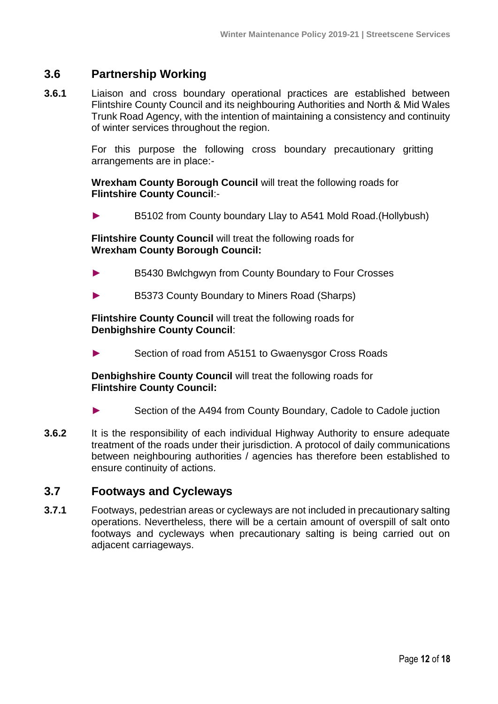# <span id="page-11-0"></span>**3.6 Partnership Working**

**3.6.1** Liaison and cross boundary operational practices are established between Flintshire County Council and its neighbouring Authorities and North & Mid Wales Trunk Road Agency, with the intention of maintaining a consistency and continuity of winter services throughout the region.

> For this purpose the following cross boundary precautionary gritting arrangements are in place:-

**Wrexham County Borough Council** will treat the following roads for **Flintshire County Council**:-

► B5102 from County boundary Llay to A541 Mold Road.(Hollybush)

**Flintshire County Council** will treat the following roads for **Wrexham County Borough Council:**

- B5430 Bwlchgwyn from County Boundary to Four Crosses
- ► B5373 County Boundary to Miners Road (Sharps)

**Flintshire County Council** will treat the following roads for **Denbighshire County Council**:

► Section of road from A5151 to Gwaenysgor Cross Roads

**Denbighshire County Council** will treat the following roads for **Flintshire County Council:**

- ► Section of the A494 from County Boundary, Cadole to Cadole juction
- **3.6.2** It is the responsibility of each individual Highway Authority to ensure adequate treatment of the roads under their jurisdiction. A protocol of daily communications between neighbouring authorities / agencies has therefore been established to ensure continuity of actions.

### <span id="page-11-1"></span>**3.7 Footways and Cycleways**

**3.7.1** Footways, pedestrian areas or cycleways are not included in precautionary salting operations. Nevertheless, there will be a certain amount of overspill of salt onto footways and cycleways when precautionary salting is being carried out on adjacent carriageways.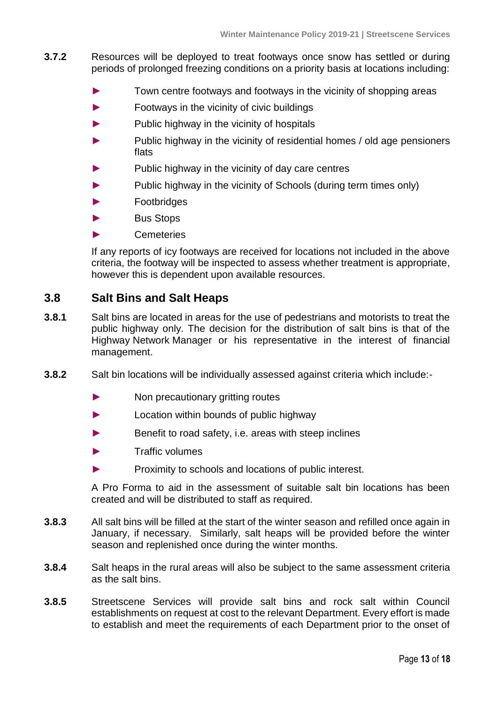- **3.7.2** Resources will be deployed to treat footways once snow has settled or during periods of prolonged freezing conditions on a priority basis at locations including:
	- Town centre footways and footways in the vicinity of shopping areas
	- ► Footways in the vicinity of civic buildings
	- Public highway in the vicinity of hospitals
	- ► Public highway in the vicinity of residential homes / old age pensioners flats
	- Public highway in the vicinity of day care centres
	- ► Public highway in the vicinity of Schools (during term times only)
	- ► Footbridges
	- ► Bus Stops
	- ► Cemeteries

If any reports of icy footways are received for locations not included in the above criteria, the footway will be inspected to assess whether treatment is appropriate, however this is dependent upon available resources.

# <span id="page-12-0"></span>**3.8 Salt Bins and Salt Heaps**

- **3.8.1** Salt bins are located in areas for the use of pedestrians and motorists to treat the public highway only. The decision for the distribution of salt bins is that of the Highway Network Manager or his representative in the interest of financial management.
- **3.8.2** Salt bin locations will be individually assessed against criteria which include:-
	- ► Non precautionary gritting routes
	- ► Location within bounds of public highway
	- ► Benefit to road safety, i.e. areas with steep inclines
	- Traffic volumes
	- ► Proximity to schools and locations of public interest.

A Pro Forma to aid in the assessment of suitable salt bin locations has been created and will be distributed to staff as required.

- **3.8.3** All salt bins will be filled at the start of the winter season and refilled once again in January, if necessary. Similarly, salt heaps will be provided before the winter season and replenished once during the winter months.
- **3.8.4** Salt heaps in the rural areas will also be subject to the same assessment criteria as the salt bins.
- **3.8.5** Streetscene Services will provide salt bins and rock salt within Council establishments on request at cost to the relevant Department. Every effort is made to establish and meet the requirements of each Department prior to the onset of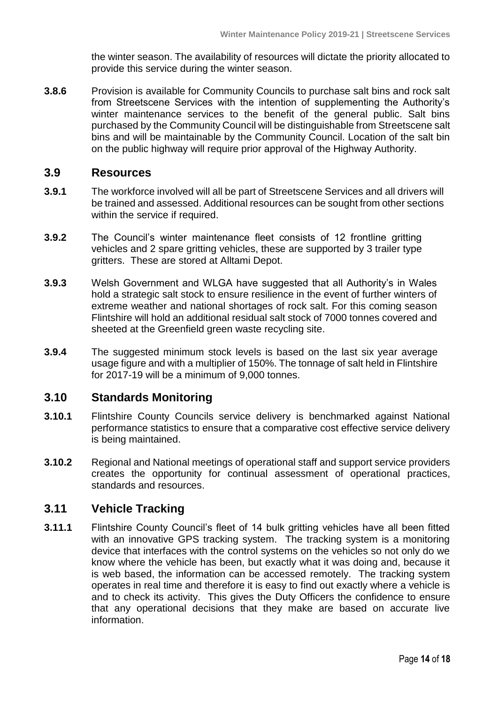the winter season. The availability of resources will dictate the priority allocated to provide this service during the winter season.

**3.8.6** Provision is available for Community Councils to purchase salt bins and rock salt from Streetscene Services with the intention of supplementing the Authority's winter maintenance services to the benefit of the general public. Salt bins purchased by the Community Council will be distinguishable from Streetscene salt bins and will be maintainable by the Community Council. Location of the salt bin on the public highway will require prior approval of the Highway Authority.

## <span id="page-13-0"></span>**3.9 Resources**

- **3.9.1** The workforce involved will all be part of Streetscene Services and all drivers will be trained and assessed. Additional resources can be sought from other sections within the service if required.
- **3.9.2** The Council's winter maintenance fleet consists of 12 frontline gritting vehicles and 2 spare gritting vehicles, these are supported by 3 trailer type gritters. These are stored at Alltami Depot.
- **3.9.3** Welsh Government and WLGA have suggested that all Authority's in Wales hold a strategic salt stock to ensure resilience in the event of further winters of extreme weather and national shortages of rock salt. For this coming season Flintshire will hold an additional residual salt stock of 7000 tonnes covered and sheeted at the Greenfield green waste recycling site.
- **3.9.4** The suggested minimum stock levels is based on the last six year average usage figure and with a multiplier of 150%. The tonnage of salt held in Flintshire for 2017-19 will be a minimum of 9,000 tonnes.

### <span id="page-13-1"></span>**3.10 Standards Monitoring**

- **3.10.1** Flintshire County Councils service delivery is benchmarked against National performance statistics to ensure that a comparative cost effective service delivery is being maintained.
- **3.10.2** Regional and National meetings of operational staff and support service providers creates the opportunity for continual assessment of operational practices, standards and resources.

# <span id="page-13-2"></span>**3.11 Vehicle Tracking**

**3.11.1** Flintshire County Council's fleet of 14 bulk gritting vehicles have all been fitted with an innovative GPS tracking system. The tracking system is a monitoring device that interfaces with the control systems on the vehicles so not only do we know where the vehicle has been, but exactly what it was doing and, because it is web based, the information can be accessed remotely. The tracking system operates in real time and therefore it is easy to find out exactly where a vehicle is and to check its activity. This gives the Duty Officers the confidence to ensure that any operational decisions that they make are based on accurate live information.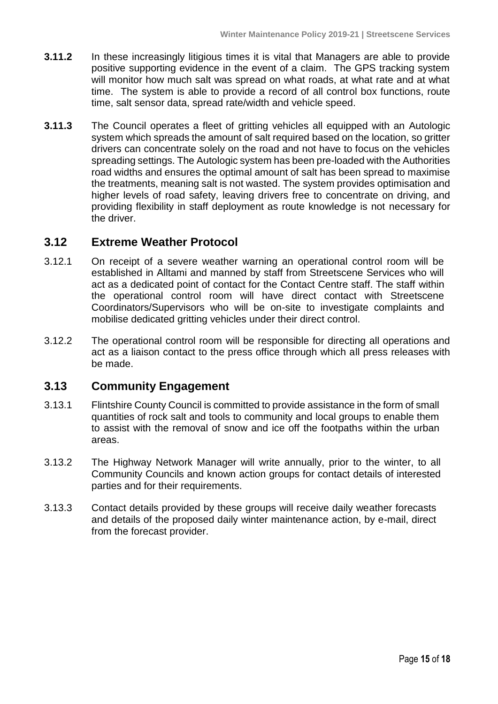- **3.11.2** In these increasingly litigious times it is vital that Managers are able to provide positive supporting evidence in the event of a claim. The GPS tracking system will monitor how much salt was spread on what roads, at what rate and at what time. The system is able to provide a record of all control box functions, route time, salt sensor data, spread rate/width and vehicle speed.
- **3.11.3** The Council operates a fleet of gritting vehicles all equipped with an Autologic system which spreads the amount of salt required based on the location, so gritter drivers can concentrate solely on the road and not have to focus on the vehicles spreading settings. The Autologic system has been pre-loaded with the Authorities road widths and ensures the optimal amount of salt has been spread to maximise the treatments, meaning salt is not wasted. The system provides optimisation and higher levels of road safety, leaving drivers free to concentrate on driving, and providing flexibility in staff deployment as route knowledge is not necessary for the driver.

# <span id="page-14-0"></span>**3.12 Extreme Weather Protocol**

- 3.12.1 On receipt of a severe weather warning an operational control room will be established in Alltami and manned by staff from Streetscene Services who will act as a dedicated point of contact for the Contact Centre staff. The staff within the operational control room will have direct contact with Streetscene Coordinators/Supervisors who will be on-site to investigate complaints and mobilise dedicated gritting vehicles under their direct control.
- 3.12.2 The operational control room will be responsible for directing all operations and act as a liaison contact to the press office through which all press releases with be made.

# <span id="page-14-1"></span>**3.13 Community Engagement**

- 3.13.1 Flintshire County Council is committed to provide assistance in the form of small quantities of rock salt and tools to community and local groups to enable them to assist with the removal of snow and ice off the footpaths within the urban areas.
- 3.13.2 The Highway Network Manager will write annually, prior to the winter, to all Community Councils and known action groups for contact details of interested parties and for their requirements.
- 3.13.3 Contact details provided by these groups will receive daily weather forecasts and details of the proposed daily winter maintenance action, by e-mail, direct from the forecast provider.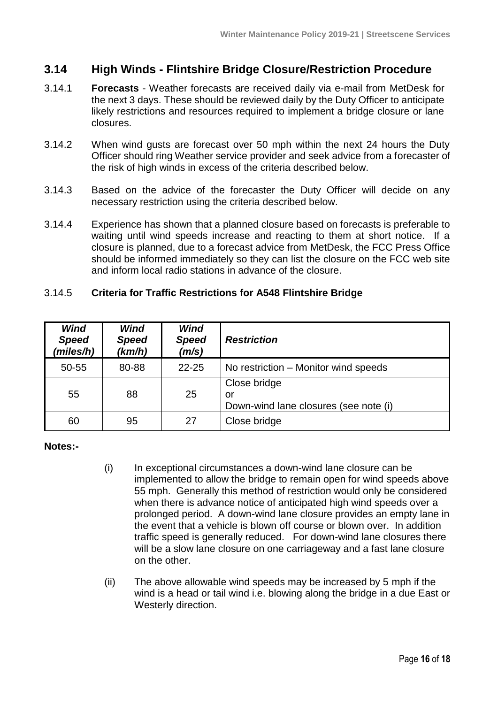# <span id="page-15-0"></span>**3.14 High Winds - Flintshire Bridge Closure/Restriction Procedure**

- 3.14.1 **Forecasts** Weather forecasts are received daily via e-mail from MetDesk for the next 3 days. These should be reviewed daily by the Duty Officer to anticipate likely restrictions and resources required to implement a bridge closure or lane closures.
- 3.14.2 When wind gusts are forecast over 50 mph within the next 24 hours the Duty Officer should ring Weather service provider and seek advice from a forecaster of the risk of high winds in excess of the criteria described below.
- 3.14.3 Based on the advice of the forecaster the Duty Officer will decide on any necessary restriction using the criteria described below.
- 3.14.4 Experience has shown that a planned closure based on forecasts is preferable to waiting until wind speeds increase and reacting to them at short notice. If a closure is planned, due to a forecast advice from MetDesk, the FCC Press Office should be informed immediately so they can list the closure on the FCC web site and inform local radio stations in advance of the closure.

#### 3.14.5 **Criteria for Traffic Restrictions for A548 Flintshire Bridge**

| <b>Wind</b><br><b>Speed</b><br>(miles/h) | Wind<br><b>Speed</b><br>(km/h) | Wind<br><b>Speed</b><br>(m/s) | <b>Restriction</b>                                          |
|------------------------------------------|--------------------------------|-------------------------------|-------------------------------------------------------------|
| 50-55                                    | 80-88                          | $22 - 25$                     | No restriction – Monitor wind speeds                        |
| 55                                       | 88                             | 25                            | Close bridge<br>or<br>Down-wind lane closures (see note (i) |
| 60                                       | 95                             | 27                            | Close bridge                                                |

#### **Notes:-**

- (i) In exceptional circumstances a down-wind lane closure can be implemented to allow the bridge to remain open for wind speeds above 55 mph. Generally this method of restriction would only be considered when there is advance notice of anticipated high wind speeds over a prolonged period. A down-wind lane closure provides an empty lane in the event that a vehicle is blown off course or blown over. In addition traffic speed is generally reduced. For down-wind lane closures there will be a slow lane closure on one carriageway and a fast lane closure on the other.
- (ii) The above allowable wind speeds may be increased by 5 mph if the wind is a head or tail wind i.e. blowing along the bridge in a due East or Westerly direction.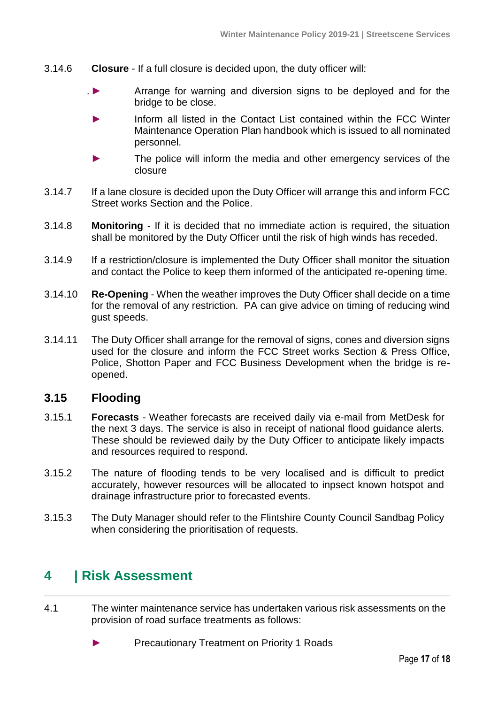- 3.14.6 **Closure** If a full closure is decided upon, the duty officer will:
	- . ► Arrange for warning and diversion signs to be deployed and for the bridge to be close.
		- Inform all listed in the Contact List contained within the FCC Winter Maintenance Operation Plan handbook which is issued to all nominated personnel.
		- The police will inform the media and other emergency services of the closure
- 3.14.7 If a lane closure is decided upon the Duty Officer will arrange this and inform FCC Street works Section and the Police.
- 3.14.8 **Monitoring** If it is decided that no immediate action is required, the situation shall be monitored by the Duty Officer until the risk of high winds has receded.
- 3.14.9 If a restriction/closure is implemented the Duty Officer shall monitor the situation and contact the Police to keep them informed of the anticipated re-opening time.
- 3.14.10 **Re-Opening** When the weather improves the Duty Officer shall decide on a time for the removal of any restriction. PA can give advice on timing of reducing wind gust speeds.
- 3.14.11 The Duty Officer shall arrange for the removal of signs, cones and diversion signs used for the closure and inform the FCC Street works Section & Press Office, Police, Shotton Paper and FCC Business Development when the bridge is reopened.

# <span id="page-16-0"></span>**3.15 Flooding**

- 3.15.1 **Forecasts** Weather forecasts are received daily via e-mail from MetDesk for the next 3 days. The service is also in receipt of national flood guidance alerts. These should be reviewed daily by the Duty Officer to anticipate likely impacts and resources required to respond.
- 3.15.2 The nature of flooding tends to be very localised and is difficult to predict accurately, however resources will be allocated to inpsect known hotspot and drainage infrastructure prior to forecasted events.
- 3.15.3 The Duty Manager should refer to the Flintshire County Council Sandbag Policy when considering the prioritisation of requests.

# <span id="page-16-1"></span>**4 | Risk Assessment**

- 4.1 The winter maintenance service has undertaken various risk assessments on the provision of road surface treatments as follows:
	- ► Precautionary Treatment on Priority 1 Roads